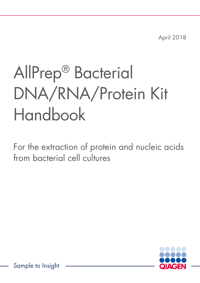April 2018

# AllPrep® Bacterial DNA/RNA/Protein Kit Handbook

For the extraction of protein and nucleic acids from bacterial cell cultures



Sample to Insight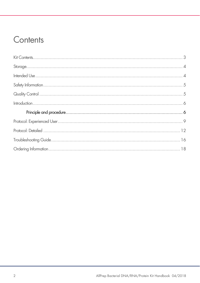### Contents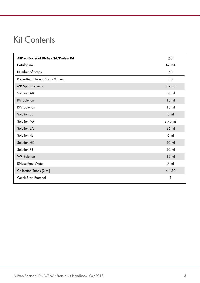### Kit Contents

| AllPrep Bacterial DNA/RNA/Protein Kit | (50)           |
|---------------------------------------|----------------|
| Catalog no.                           | 47054          |
| Number of preps                       | 50             |
| PowerBead Tubes, Glass 0.1 mm         | 50             |
| <b>MB Spin Columns</b>                | $3 \times 50$  |
| Solution AB                           | 36 ml          |
| <b>IW Solution</b>                    | $18$ m         |
| <b>RW Solution</b>                    | $18$ ml        |
| Solution EB                           | $8$ m          |
| Solution MR                           | $2 \times 7$ m |
| Solution EA                           | 36 ml          |
| Solution PE                           | $6$ m          |
| Solution HC                           | $20$ ml        |
| Solution RB                           | 20 ml          |
| <b>WP Solution</b>                    | $12$ ml        |
| <b>RNase-Free Water</b>               | $7 \text{ ml}$ |
| Collection Tubes (2 ml)               | $6 \times 50$  |
| Quick Start Protocol                  | 1              |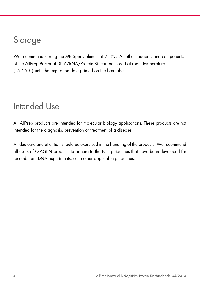### **Storage**

We recommend storing the MB Spin Columns at 2-8°C. All other reagents and components of the AllPrep Bacterial DNA/RNA/Protein Kit can be stored at room temperature (15–25°C) until the expiration date printed on the box label.

### Intended Use

All AllPrep products are intended for molecular biology applications. These products are not intended for the diagnosis, prevention or treatment of a disease.

All due care and attention should be exercised in the handling of the products. We recommend all users of QIAGEN products to adhere to the NIH guidelines that have been developed for recombinant DNA experiments, or to other applicable guidelines.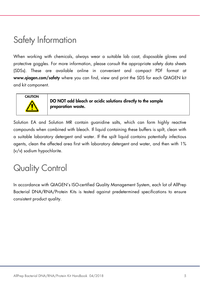### Safety Information

When working with chemicals, always wear a suitable lab coat, disposable gloves and protective goggles. For more information, please consult the appropriate safety data sheets (SDSs). These are available online in convenient and compact PDF format at www.qiagen.com/safety where you can find, view and print the SDS for each QIAGEN kit and kit component.



DO NOT add bleach or acidic solutions directly to the sample preparation waste.

Solution EA and Solution MR contain guanidine salts, which can form highly reactive compounds when combined with bleach. If liquid containing these buffers is spilt, clean with a suitable laboratory detergent and water. If the spilt liquid contains potentially infectious agents, clean the affected area first with laboratory detergent and water, and then with 1% (v/v) sodium hypochlorite.

# Quality Control

In accordance with QIAGEN's ISO-certified Quality Management System, each lot of AllPrep Bacterial DNA/RNA/Protein Kits is tested against predetermined specifications to ensure consistent product quality.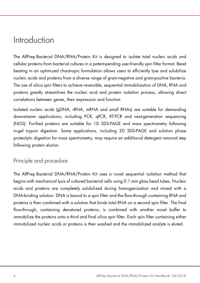### Introduction

The AllPrep Bacterial DNA/RNA/Protein Kit is designed to isolate total nucleic acids and cellular proteins from bacterial cultures in a patent-pending user-friendly spin filter format. Bead beating in an optimized chaotropic formulation allows users to efficiently lyse and solubilize nucleic acids and proteins from a diverse range of gram-negative and gram-positive bacteria. The use of silica spin filters to achieve reversible, sequential immobilization of DNA, RNA and proteins greatly streamlines the nucleic acid and protein isolation process, allowing direct correlations between genes, their expression and function.

Isolated nucleic acids (gDNA, rRNA, mRNA and small RNAs) are suitable for demanding downstream applications, including PCR, qPCR, RT-PCR and next-generation sequencing (NGS). Purified proteins are suitable for 1D SDS-PAGE and mass spectrometry following in-gel trypsin digestion. Some applications, including 2D SDS-PAGE and solution phase proteolytic digestion for mass spectrometry, may require an additional detergent removal step following protein elution.

### Principle and procedure

The AllPrep Bacterial DNA/RNA/Protein Kit uses a novel sequential isolation method that begins with mechanical lysis of cultured bacterial cells using 0.1 mm glass bead tubes. Nucleic acids and proteins are completely solubilized during homogenization and mixed with a DNA-binding solution. DNA is bound to a spin filter and the flow-through containing RNA and proteins is then combined with a solution that binds total RNA on a second spin filter. The final flow-through, containing denatured proteins, is combined with another novel buffer to immobilize the proteins onto a third and final silica spin filter. Each spin filter containing either immobilized nucleic acids or proteins is then washed and the immobilized analyte is eluted.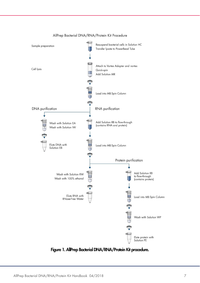

#### AllPrep Bacterial DNA/RNA/Protein Kit Procedure

Figure 1. AllPrep Bacterial DNA/RNA/Protein Kit procedure.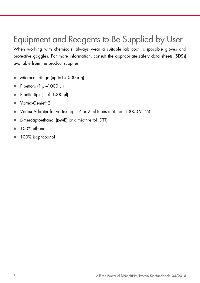# Equipment and Reagents to Be Supplied by User

When working with chemicals, always wear a suitable lab coat, disposable gloves and protective goggles. For more information, consult the appropriate safety data sheets (SDSs) available from the product supplier.

- $\bullet$  Microcentrifuge (up to 15,000 x q)
- Pipettors (1 µl–1000 µl)
- $\bullet$  Pipette tips  $(1 \text{ pl} 1000 \text{ pl})$
- Vortex-Genie® 2
- Vortex Adapter for vortexing 1.7 or 2 ml tubes (cat. no. 13000-V1-24)
- β-mercaptoethanol (β-ME) or dithiothreitol (DTT)
- 100% ethanol
- 100% isopropanol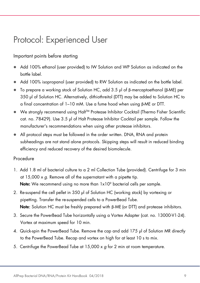### Protocol: Experienced User

### Important points before starting

- Add 100% ethanol (user provided) to IW Solution and WP Solution as indicated on the bottle label.
- Add 100% isopropanol (user provided) to RW Solution as indicated on the bottle label.
- To prepare a working stock of Solution HC, add 3.5 µl of β-mercaptoethanol (β-ME) per 350 µl of Solution HC. Alternatively, dithiothreitol (DTT) may be added to Solution HC to a final concentration of 1–10 mM. Use a fume hood when using β-ME or DTT.
- We strongly recommend using Halt<sup>™</sup> Protease Inhibitor Cocktail (Thermo Fisher Scientific cat. no. 78429). Use 3.5 µl of Halt Protease Inhibitor Cocktail per sample. Follow the manufacturer's recommendations when using other protease inhibitors.
- All protocol steps must be followed in the order written. DNA, RNA and protein subheadings are not stand alone protocols. Skipping steps will result in reduced binding efficiency and reduced recovery of the desired biomolecule.

#### Procedure

- 1. Add 1.8 ml of bacterial culture to a 2 ml Collection Tube (provided). Centrifuge for 3 min at  $15,000 \times g$ . Remove all of the supernatant with a pipette tip. **Note:** We recommend using no more than 1x10<sup>9</sup> bacterial cells per sample.
- 2. Re-suspend the cell pellet in 350 µl of Solution HC (working stock) by vortexing or pipetting. Transfer the re-suspended cells to a PowerBead Tube. Note: Solution HC must be freshly prepared with β-ME (or DTT) and protease inhibitors.
- 3. Secure the PowerBead Tube horizontally using a Vortex Adapter (cat. no. 13000-V1-24). Vortex at maximum speed for 10 min.
- 4. Quick-spin the PowerBead Tube. Remove the cap and add 175 µl of Solution MR directly to the PowerBead Tube. Recap and vortex on high for at least 10 s to mix.
- 5. Centrifuge the PowerBead Tube at 15,000 x g for 2 min at room temperature.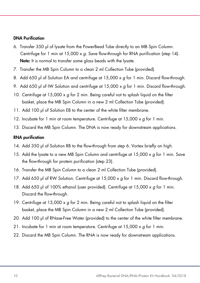#### DNA Purification

- 6. Transfer 350 µl of lysate from the PowerBead Tube directly to an MB Spin Column. Centrifuge for 1 min at  $15,000 \times q$ . Save flow-through for RNA purification (step 14). Note: It is normal to transfer some glass beads with the lysate.
- 7. Transfer the MB Spin Column to a clean 2 ml Collection Tube (provided).
- 8. Add 650 µl of Solution EA and centrifuge at 15,000 x a for 1 min. Discard flow-through.
- 9. Add 650 µl of IW Solution and centrifuge at  $15,000 \times g$  for 1 min. Discard flow-through.
- 10. Centrifuge at 15,000 x g for 2 min. Being careful not to splash liquid on the filter basket, place the MB Spin Column in a new 2 ml Collection Tube (provided).
- 11. Add 100 µl of Solution EB to the center of the white filter membrane.
- 12. Incubate for 1 min at room temperature. Centrifuge at 15,000 x g for 1 min.
- 13. Discard the MB Spin Column. The DNA is now ready for downstream applications.

#### RNA purification

- 14. Add 350 µl of Solution RB to the flow-through from step 6. Vortex briefly on high.
- 15. Add the lysate to a new MB Spin Column and centrifuge at  $15,000 \times g$  for 1 min. Save the flow-through for protein purification (step 23).
- 16. Transfer the MB Spin Column to a clean 2 ml Collection Tube (provided).
- 17. Add 650 µl of RW Solution. Centrifuge at  $15,000 \times g$  for 1 min. Discard flow-through.
- 18. Add 650 µl of 100% ethanol (user provided). Centrifuge at 15,000  $\times$  g for 1 min. Discard the flow-through.
- 19. Centrifuge at 15,000  $\times$  g for 2 min. Being careful not to splash liquid on the filter basket, place the MB Spin Column in a new 2 ml Collection Tube (provided).
- 20. Add 100 µl of RNase-Free Water (provided) to the center of the white filter membrane.
- 21. Incubate for 1 min at room temperature. Centrifuge at  $15,000 \times q$  for 1 min.
- 22. Discard the MB Spin Column. The RNA is now ready for downstream applications.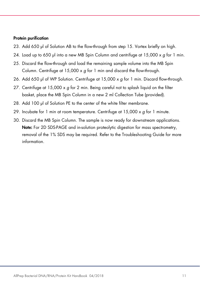#### Protein purification

- 23. Add 650 µl of Solution AB to the flow-through from step 15. Vortex briefly on high.
- 24. Load up to 650 µl into a new MB Spin Column and centrifuge at  $15,000 \times g$  for 1 min.
- 25. Discard the flow-through and load the remaining sample volume into the MB Spin Column. Centrifuge at  $15,000 \times a$  for 1 min and discard the flow-through.
- 26. Add 650 µl of WP Solution. Centrifuge at 15,000 x q for 1 min. Discard flow-through.
- 27. Centrifuge at  $15,000 \times g$  for 2 min. Being careful not to splash liquid on the filter basket, place the MB Spin Column in a new 2 ml Collection Tube (provided).
- 28. Add 100 µl of Solution PE to the center of the white filter membrane.
- 29. Incubate for 1 min at room temperature. Centrifuge at  $15,000 \times g$  for 1 minute.
- 30. Discard the MB Spin Column. The sample is now ready for downstream applications. Note: For 2D SDS-PAGE and in-solution proteolytic digestion for mass spectrometry, removal of the 1% SDS may be required. Refer to the Troubleshooting Guide for more information.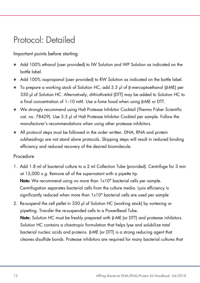### Protocol: Detailed

### Important points before starting

- Add 100% ethanol (user provided) to IW Solution and WP Solution as indicated on the bottle label.
- Add 100% isopropanol (user provided) to RW Solution as indicated on the bottle label.
- To prepare a working stock of Solution HC, add 3.5 µl of β-mercaptoethanol (β-ME) per 350 µl of Solution HC. Alternatively, dithiothreitol (DTT) may be added to Solution HC to a final concentration of 1–10 mM. Use a fume hood when using β-ME or DTT.
- We strongly recommend using Halt Protease Inhibitor Cocktail (Thermo Fisher Scientific cat. no. 78429). Use 3.5 µl of Halt Protease Inhibitor Cocktail per sample. Follow the manufacturer's recommendations when using other protease inhibitors.
- All protocol steps must be followed in the order written. DNA, RNA and protein subheadings are not stand alone protocols. Skipping steps will result in reduced binding efficiency and reduced recovery of the desired biomolecule.

#### Procedure

- 1. Add 1.8 ml of bacterial culture to a 2 ml Collection Tube (provided). Centrifuge for 3 min at  $15,000 \times q$ . Remove all of the supernatant with a pipette tip. **Note:** We recommend using no more than 1x10<sup>9</sup> bacterial cells per sample. Centrifugation separates bacterial cells from the culture media. Lysis efficiency is significantly reduced when more than  $1x10^{\circ}$  bacterial cells are used per sample
- 2. Re-suspend the cell pellet in 350 µl of Solution HC (working stock) by vortexing or pipetting. Transfer the re-suspended cells to a PowerBead Tube. Note: Solution HC must be freshly prepared with β-ME (or DTT) and protease inhibitors. Solution HC contains a chaotropic formulation that helps lyse and solubilize total bacterial nucleic acids and proteins. β-ME (or DTT) is a strong reducing agent that cleaves disulfide bonds. Protease inhibitors are required for many bacterial cultures that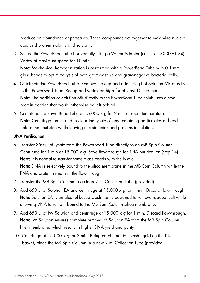produce an abundance of proteases. These compounds act together to maximize nucleic acid and protein stability and solubility.

3. Secure the PowerBead Tube horizontally using a Vortex Adapter (cat. no. 13000-V1-24). Vortex at maximum speed for 10 min.

Note: Mechanical homogenization is performed with a PowerBead Tube with 0.1 mm glass beads to optimize lysis of both gram-positive and gram-negative bacterial cells.

- 4. Quick-spin the PowerBead Tube. Remove the cap and add 175 µl of Solution MR directly to the PowerBead Tube. Recap and vortex on high for at least 10 s to mix. Note: The addition of Solution MR directly to the PowerBead Tube solubilizes a small protein fraction that would otherwise be left behind.
- 5. Centrifuge the PowerBead Tube at 15,000 x g for 2 min at room temperature. Note: Centrifugation is used to clear the lysate of any remaining particulates or beads before the next step while leaving nucleic acids and proteins in solution.

#### DNA Purification

- 6. Transfer 350 µl of lysate from the PowerBead Tube directly to an MB Spin Column. Centrifuge for 1 min at 15,000 x g. Save flow-through for RNA purification (step 14). Note: It is normal to transfer some glass beads with the lysate. Note: DNA is selectively bound to the silica membrane in the MB Spin Column while the RNA and protein remain in the flow-through.
- 7. Transfer the MB Spin Column to a clean 2 ml Collection Tube (provided).
- 8. Add 650 µl of Solution EA and centrifuge at 15,000 x g for 1 min. Discard flow-through. Note: Solution EA is an alcohol-based wash that is designed to remove residual salt while allowing DNA to remain bound to the MB Spin Column silica membrane.
- 9. Add 650 µl of IW Solution and centrifuge at 15,000  $\times$  g for 1 min. Discard flow-through. Note: IW Solution ensures complete removal of Solution EA from the MB Spin Column filter membrane, which results in higher DNA yield and purity.
- 10. Centrifuge at 15,000 x g for 2 min. Being careful not to splash liquid on the filter basket, place the MB Spin Column in a new 2 ml Collection Tube (provided).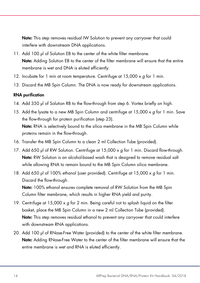Note: This step removes residual IW Solution to prevent any carryover that could interfere with downstream DNA applications.

- 11. Add 100 µl of Solution EB to the center of the white filter membrane. Note: Adding Solution EB to the center of the filter membrane will ensure that the entire membrane is wet and DNA is eluted efficiently.
- 12. Incubate for 1 min at room temperature. Centrifuge at  $15,000 \times g$  for 1 min.
- 13. Discard the MB Spin Column. The DNA is now ready for downstream applications.

#### RNA purification

- 14. Add 350 µl of Solution RB to the flow-through from step 6. Vortex briefly on high.
- 15. Add the lysate to a new MB Spin Column and centrifuge at  $15,000 \times g$  for 1 min. Save the flow-through for protein purification (step 23). Note: RNA is selectively bound to the silica membrane in the MB Spin Column while proteins remain in the flow-through.
- 16. Transfer the MB Spin Column to a clean 2 ml Collection Tube (provided).
- 17. Add 650 µl of RW Solution. Centrifuge at  $15,000 \times g$  for 1 min. Discard flow-through. Note: RW Solution is an alcohol-based wash that is designed to remove residual salt while allowing RNA to remain bound to the MB Spin Column silica membrane.
- 18. Add 650 µl of 100% ethanol (user provided). Centrifuge at 15,000  $\times g$  for 1 min. Discard the flow-through.

Note: 100% ethanol ensures complete removal of RW Solution from the MB Spin Column filter membrane, which results in higher RNA yield and purity.

- 19. Centrifuge at 15,000  $\times$  g for 2 min. Being careful not to splash liquid on the filter basket, place the MB Spin Column in a new 2 ml Collection Tube (provided). Note: This step removes residual ethanol to prevent any carryover that could interfere with downstream RNA applications.
- 20. Add 100 µl of RNase-Free Water (provided) to the center of the white filter membrane. Note: Adding RNase-Free Water to the center of the filter membrane will ensure that the entire membrane is wet and RNA is eluted efficiently.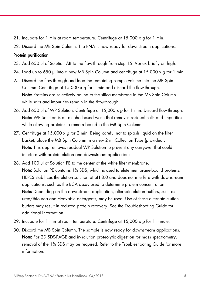- 21. Incubate for 1 min at room temperature. Centrifuge at  $15,000 \times q$  for 1 min.
- 22. Discard the MB Spin Column. The RNA is now ready for downstream applications.

#### Protein purification

- 23. Add 650 µl of Solution AB to the flow-through from step 15. Vortex briefly on high.
- 24. Load up to 650 µl into a new MB Spin Column and centrifuge at  $15,000 \times g$  for 1 min.
- 25. Discard the flow-through and load the remaining sample volume into the MB Spin Column. Centrifuge at  $15,000 \times q$  for 1 min and discard the flow-through. Note: Proteins are selectively bound to the silica membrane in the MB Spin Column while salts and impurities remain in the flow-through.
- 26. Add 650 µl of WP Solution. Centrifuge at 15,000 x q for 1 min. Discard flow-through. Note: WP Solution is an alcohol-based wash that removes residual salts and impurities while allowing proteins to remain bound to the MB Spin Column.
- 27. Centrifuge at  $15,000 \times g$  for 2 min. Being careful not to splash liquid on the filter basket, place the MB Spin Column in a new 2 ml Collection Tube (provided). Note: This step removes residual WP Solution to prevent any carryover that could interfere with protein elution and downstream applications.
- 28. Add 100 µl of Solution PE to the center of the white filter membrane. Note: Solution PE contains 1% SDS, which is used to elute membrane-bound proteins. HEPES stabilizes the elution solution at pH 8.0 and does not interfere with downstream applications, such as the BCA assay used to determine protein concentration. Note: Depending on the downstream application, alternate elution buffers, such as urea/thiourea and cleavable detergents, may be used. Use of these alternate elution buffers may result in reduced protein recovery. See the Troubleshooting Guide for additional information.
- 29. Incubate for 1 min at room temperature. Centrifuge at  $15,000 \times g$  for 1 minute.
- 30. Discard the MB Spin Column. The sample is now ready for downstream applications. Note: For 2D SDS-PAGE and in-solution proteolytic digestion for mass spectrometry, removal of the 1% SDS may be required. Refer to the Troubleshooting Guide for more information.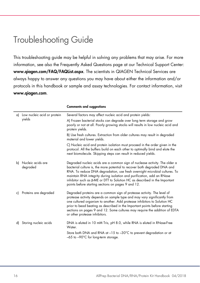### Troubleshooting Guide

This troubleshooting guide may be helpful in solving any problems that may arise. For more information, see also the Frequently Asked Questions page at our Technical Support Center: www.qiagen.com/FAQ/FAQList.aspx. The scientists in QIAGEN Technical Services are always happy to answer any questions you may have about either the information and/or protocols in this handbook or sample and assay technologies. For contact information, visit www.qiagen.com.

| a) | Low nucleic acid or protein<br>yields | Several factors may affect nucleic acid and protein yields:                                                                                                                                                                                                                                                                                                                                                                                                |
|----|---------------------------------------|------------------------------------------------------------------------------------------------------------------------------------------------------------------------------------------------------------------------------------------------------------------------------------------------------------------------------------------------------------------------------------------------------------------------------------------------------------|
|    |                                       | A) Frozen bacterial stocks can degrade over long term storage and grow<br>poorly or not at all. Poorly growing stocks will results in low nucleic acid and<br>protein yields.                                                                                                                                                                                                                                                                              |
|    |                                       | B) Use fresh cultures. Extraction from older cultures may result in degraded<br>material and lower yields.                                                                                                                                                                                                                                                                                                                                                 |
|    |                                       | C) Nucleic acid and protein isolation must proceed in the order given in the<br>protocol. All the buffers build on each other to optimally bind and elute the<br>next biomolecule. Skipping steps can result in reduced yields.                                                                                                                                                                                                                            |
| b) | Nucleic acids are<br>degraded         | Degraded nucleic acids are a common sign of nuclease activity. The older a<br>bacterial culture is, the more potential to recover both degraded DNA and<br>RNA. To reduce DNA degradation, use fresh overnight microbial cultures. To<br>maintain RNA integrity during isolation and purification, add an RNase<br>inhibitor such as $\beta$ -ME or DTT to Solution HC as described in the Important<br>points before starting sections on pages 9 and 12. |
| c) | Proteins are degraded                 | Degraded proteins are a common sign of protease activity. The level of<br>protease activity depends on sample type and may vary significantly from<br>one cultured organism to another. Add protease inhibitors to Solution HC<br>prior to bead beating as described in the Important points before starting<br>sections on pages 9 and 12. Some cultures may require the addition of EDTA<br>or other protease inhibitors.                                |
| d) | Storing nucleic acids                 | DNA is eluted in 10 mM Tris, pH 8.0, while RNA is eluted in RNase-Free<br>Water.                                                                                                                                                                                                                                                                                                                                                                           |
|    |                                       | Store both DNA and RNA at -15 to -30°C to prevent degradation or at<br>$-65$ to $-90^{\circ}$ C for long-term storage.                                                                                                                                                                                                                                                                                                                                     |

#### Comments and suggestions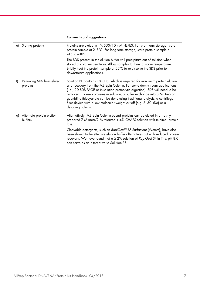#### Comments and suggestions

| e) | Storing proteins                     | Proteins are eluted in 1% SDS/10 mM HEPES. For short term storage, store<br>protein sample at 2-8°C. For long term storage, store protein sample at<br>$-15$ to $-30^{\circ}$ C.                                                                                                                                                                                                                                                                                                                 |
|----|--------------------------------------|--------------------------------------------------------------------------------------------------------------------------------------------------------------------------------------------------------------------------------------------------------------------------------------------------------------------------------------------------------------------------------------------------------------------------------------------------------------------------------------------------|
|    |                                      | The SDS present in the elution buffer will precipitate out of solution when<br>stored at cold temperatures. Allow samples to thaw at room temperature.<br>Briefly heat the protein sample at 55°C to re-dissolve the SDS prior to<br>downstream applications.                                                                                                                                                                                                                                    |
| f) | Removing SDS from eluted<br>proteins | Solution PE contains 1% SDS, which is required for maximum protein elution<br>and recovery from the MB Spin Column. For some downstream applications<br>(i.e., 2D SDS-PAGE or in-solution proteolytic digestion), SDS will need to be<br>removed. To keep proteins in solution, a buffer exchange into 8 M Urea or<br>guanidine thiocyanate can be done using traditional dialysis, a centrifugal<br>filter device with a low molecular weight cut-off (e.g. 5-30 kDa) or a<br>desalting column. |
| g) | Alternate protein elution<br>buffers | Alternatively, MB Spin Column-bound proteins can be eluted in a freshly<br>prepared 7 M urea/2 M thiourea $\pm$ 4% CHAPS solution with minimal protein<br>loss.                                                                                                                                                                                                                                                                                                                                  |
|    |                                      | Cleavable detergents, such as RapiGest™ SF Surfactant (Waters), have also<br>been shown to be effective elution buffer alternatives but with reduced protein<br>recovery. We have found that $a \ge 2\%$ solution of RapiGest SF in Tris, pH 8.0<br>can serve as an alternative to Solution PE.                                                                                                                                                                                                  |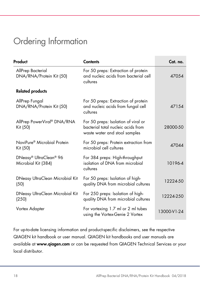## Ordering Information

| Product                                             | <b>Contents</b>                                                                                            | Cat. no.    |
|-----------------------------------------------------|------------------------------------------------------------------------------------------------------------|-------------|
| AllPrep Bacterial<br>DNA/RNA/Protein Kit (50)       | For 50 preps: Extraction of protein<br>and nucleic acids from bacterial cell<br>cultures                   | 47054       |
| <b>Related products</b>                             |                                                                                                            |             |
| AllPrep Fungal<br>DNA/RNA/Protein Kit (50)          | For 50 preps: Extraction of protein<br>and nucleic acids from fungal cell<br>cultures                      | 47154       |
| AllPrep PowerViral® DNA/RNA<br>Kit (50)             | For 50 preps: Isolation of viral or<br>bacterial total nucleic acids from<br>waste water and stool samples | 28000-50    |
| NoviPure <sup>®</sup> Microbial Protein<br>Kit (50) | For 50 preps: Protein extraction from<br>microbial cell cultures                                           | 47044       |
| DNeasy® UltraClean® 96<br>Microbial Kit (384)       | For 384 preps: High-throughput<br>isolation of DNA from microbial<br>cultures                              | 10196-4     |
| DNeasy UltraClean Microbial Kit<br>(50)             | For 50 preps: Isolation of high-<br>quality DNA from microbial cultures                                    | 12224-50    |
| DNeasy UltraClean Microbial Kit<br>(250)            | For 250 preps: Isolation of high-<br>quality DNA from microbial cultures                                   | 12224-250   |
| Vortex Adapter                                      | For vortexing 1.7 ml or 2 ml tubes<br>using the Vortex-Genie 2 Vortex                                      | 13000-V1-24 |

For up-to-date licensing information and product-specific disclaimers, see the respective QIAGEN kit handbook or user manual. QIAGEN kit handbooks and user manuals are available at www.qiagen.com or can be requested from QIAGEN Technical Services or your local distributor.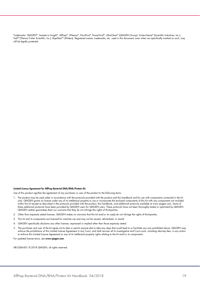Trademarks: QIAGEN®, Sample to Insight®, AllPrep®, DNeasy®, NoviPure®, PowerViral®, UltraClean® (QIAGEN Group); Vortex-Genie® (Scientific Industries, Inc.); Halt<sup>TM</sup> (Thermo Fisher Scientific, Inc.); RapiGest<sup>TM</sup> (Waters). Registered names, trademarks, etc. used in this document, even when not specifically marked as such, may still be legally protected.

#### Limited License Agreement for AllPrep Bacterial DNA/RNA/Protein Kit

Use of this product signifies the agreement of any purchaser or user of the product to the following terms:

- 1. The product may be used solely in accordance with the protocols provided with the product and this handbook and for use with components contained in the kit only. QIAGEN grants no license under any of its intellectual property to use or incorporate the enclosed components of this kit with any components not included within this kit except as described in the protocols provided with the product, this handbook, and additional protocols available at www.qiagen.com. Some of these additional protocols have been provided by QIAGEN users for QIAGEN users. These protocols have not been thoroughly tested or optimized by QIAGEN. QIAGEN neither guarantees them nor warrants that they do not infringe the rights of third-parties.
- 2. Other than expressly stated licenses, QIAGEN makes no warranty that this kit and/or its use(s) do not infringe the rights of third-parties.
- 3. This kit and its components are licensed for one-time use and may not be reused, refurbished, or resold.
- 4. QIAGEN specifically disclaims any other licenses, expressed or implied other than those expressly stated.
- 5. The purchaser and user of the kit agree not to take or permit anyone else to take any steps that could lead to or facilitate any acts prohibited above. QIAGEN may enforce the prohibitions of this Limited License Agreement in any Court, and shall recover all its investigative and Court costs, including attorney fees, in any action to enforce this Limited License Agreement or any of its intellectual property rights relating to the kit and/or its components.

For updated license terms, see www.qiagen.com.

HB-2286-001 © 2018 QIAGEN, all rights reserved.